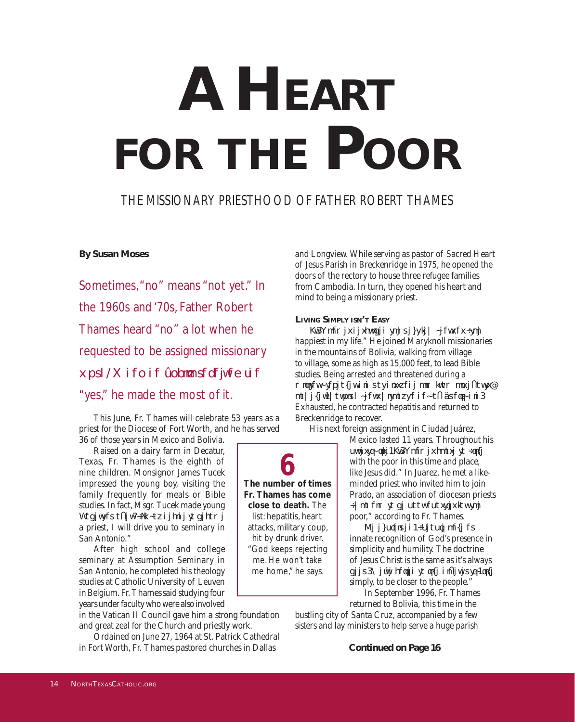# **A Heart for the Poor**

## The missionary priesthood of Father Robert Thames

### **By Susan Moses**

Sometimes, "no" means "not yet." In the 1960s and '70s, Father Robert Thames heard "no" a lot when he requested to be assigned missionary work. When he finally received the "yes," he made the most of it.

This June, Fr. Thames will celebrate 53 years as a priest for the Diocese of Fort Worth, and he has served 36 of those years in Mexico and Bolivia.

Raised on a dairy farm in Decatur, Texas, Fr. Thames is the eighth of nine children. Monsignor James Tucek impressed the young boy, visiting the family frequently for meals or Bible studies. In fact, Msgr. Tucek made young Robert an of er: "If you decide to become a priest, I will drive you to seminary in San Antonio."

After high school and college seminary at Assumption Seminary in San Antonio, he completed his theology studies at Catholic University of Leuven in Belgium. Fr. Thames said studying four years under faculty who were also involved

in the Vatican II Council gave him a strong foundation and great zeal for the Church and priestly work.

Ordained on June 27, 1964 at St. Patrick Cathedral in Fort Worth, Fr. Thames pastored churches in Dallas

and Longview. While serving as pastor of Sacred Heart of Jesus Parish in Breckenridge in 1975, he opened the doors of the rectory to house three refugee families from Cambodia. In turn, they opened his heart and mind to being a missionary priest.

#### **Living Simply isn't Easy**

Fr. Thames described the next few years as "the happiest in my life." He joined Maryknoll missionaries in the mountains of Bolivia, walking from village to village, some as high as 15,000 feet, to lead Bible studies. Being arrested and threatened during a military takeover did not dissuade him from his ef orts; however, working years without a day of f nally did. Exhausted, he contracted hepatitis and returned to Breckenridge to recover.

His next foreign assignment in Ciudad Juárez,

Mexico lasted 11 years. Throughout his priestly life, Fr. Thames chose to "live with the poor in this time and place, like Jesus did." In Juarez, he met a likeminded priest who invited him to join Prado, an association of diocesan priests "who aim to be poor apostles for the poor," according to Fr. Thames.

He explained, "People have an innate recognition of God's presence in simplicity and humility. The doctrine of Jesus Christ is the same as it's always been. We're called to live dif erently, live simply, to be closer to the people."

In September 1996, Fr. Thames returned to Bolivia, this time in the

bustling city of Santa Cruz, accompanied by a few sisters and lay ministers to help serve a huge parish

**The number of times Fr. Thames has come close to death.** The list: hepatitis, heart attacks, military coup, hit by drunk driver. "God keeps rejecting me. He won't take me home," he says. **6**

**Continued on Page 16**